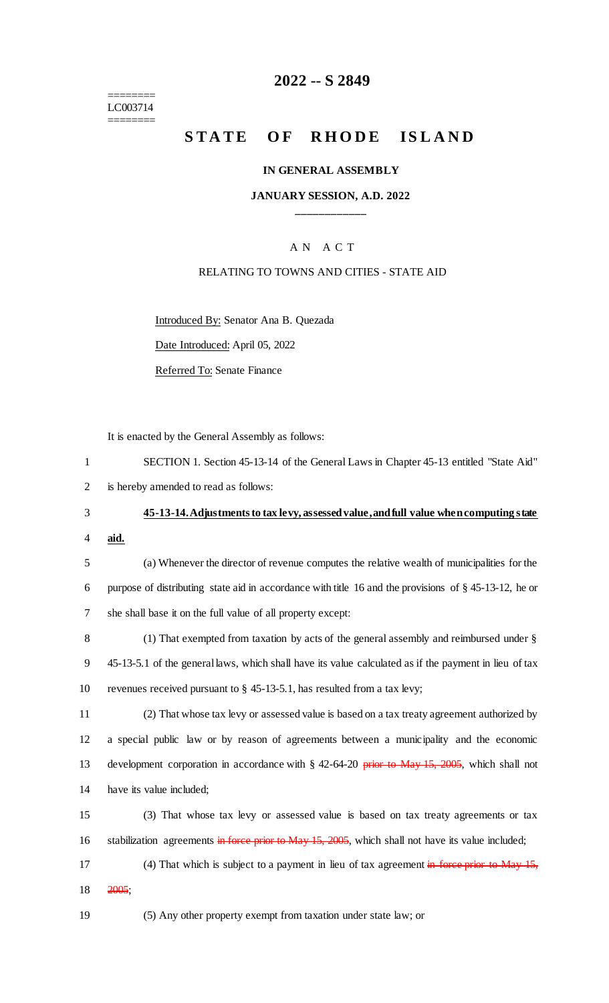======== LC003714 ========

### **2022 -- S 2849**

# **STATE OF RHODE ISLAND**

#### **IN GENERAL ASSEMBLY**

### **JANUARY SESSION, A.D. 2022 \_\_\_\_\_\_\_\_\_\_\_\_**

### A N A C T

#### RELATING TO TOWNS AND CITIES - STATE AID

Introduced By: Senator Ana B. Quezada

Date Introduced: April 05, 2022

Referred To: Senate Finance

It is enacted by the General Assembly as follows:

|   | SECTION 1. Section 45-13-14 of the General Laws in Chapter 45-13 entitled "State Aid" |
|---|---------------------------------------------------------------------------------------|
| 2 | is hereby amended to read as follows:                                                 |

# 3 **45-13-14. Adjustments to tax levy, assessed value, and full value when computing state**

4 **aid.**

5 (a) Whenever the director of revenue computes the relative wealth of municipalities for the 6 purpose of distributing state aid in accordance with title 16 and the provisions of § 45-13-12, he or 7 she shall base it on the full value of all property except:

8 (1) That exempted from taxation by acts of the general assembly and reimbursed under § 9 45-13-5.1 of the general laws, which shall have its value calculated as if the payment in lieu of tax 10 revenues received pursuant to § 45-13-5.1, has resulted from a tax levy;

 (2) That whose tax levy or assessed value is based on a tax treaty agreement authorized by a special public law or by reason of agreements between a municipality and the economic 13 development corporation in accordance with § 42-64-20 prior to May 15, 2005, which shall not have its value included;

15 (3) That whose tax levy or assessed value is based on tax treaty agreements or tax 16 stabilization agreements in force prior to May 15, 2005, which shall not have its value included;

17 (4) That which is subject to a payment in lieu of tax agreement in force prior to May 15, 18 2005;

19 (5) Any other property exempt from taxation under state law; or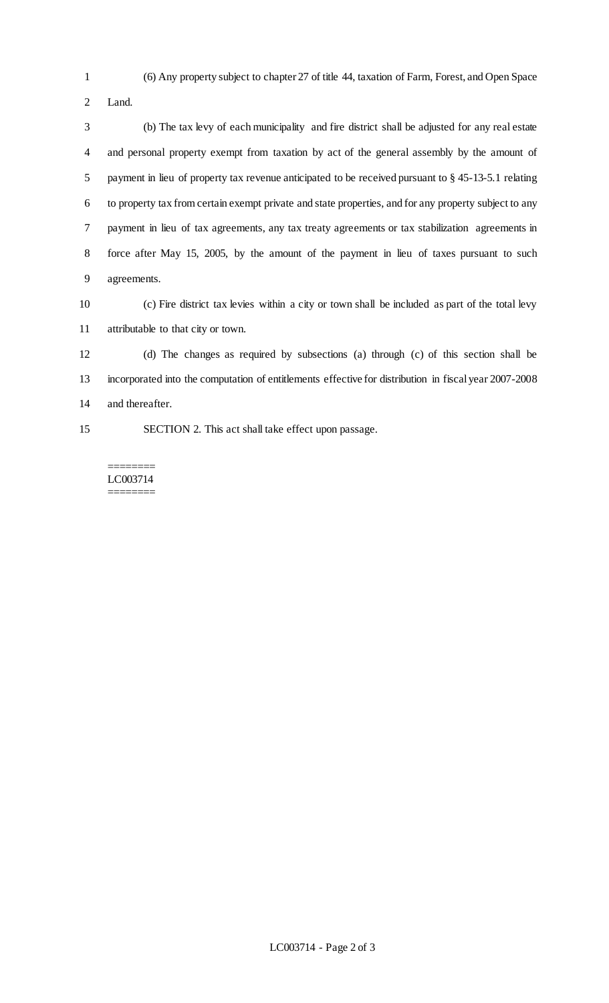(6) Any property subject to chapter 27 of title 44, taxation of Farm, Forest, and Open Space

Land.

 (b) The tax levy of each municipality and fire district shall be adjusted for any real estate and personal property exempt from taxation by act of the general assembly by the amount of payment in lieu of property tax revenue anticipated to be received pursuant to § 45-13-5.1 relating to property tax from certain exempt private and state properties, and for any property subject to any payment in lieu of tax agreements, any tax treaty agreements or tax stabilization agreements in force after May 15, 2005, by the amount of the payment in lieu of taxes pursuant to such agreements.

 (c) Fire district tax levies within a city or town shall be included as part of the total levy attributable to that city or town.

 (d) The changes as required by subsections (a) through (c) of this section shall be incorporated into the computation of entitlements effective for distribution in fiscal year 2007-2008 and thereafter.

SECTION 2. This act shall take effect upon passage.

======== LC003714 ========